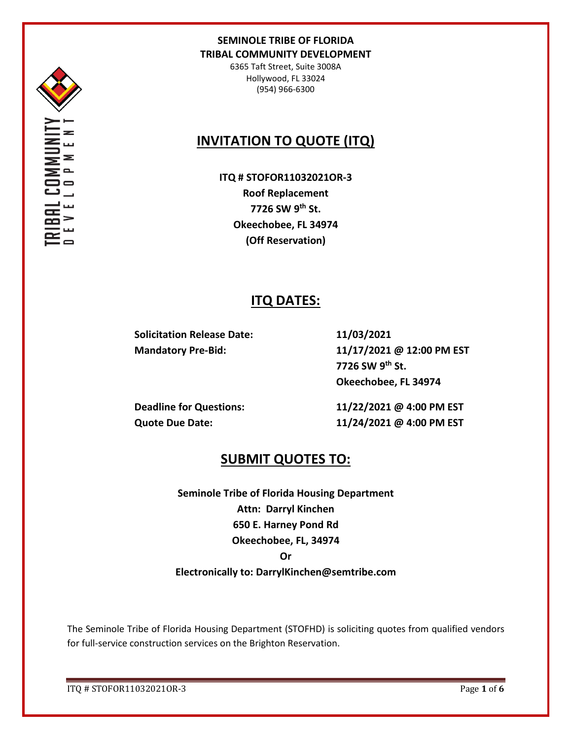

6365 Taft Street, Suite 3008A Hollywood, FL 33024 (954) 966-6300

# **INVITATION TO QUOTE (ITQ)**

**ITQ # STOFOR11032021OR-3 Roof Replacement 7726 SW 9th St. Okeechobee, FL 34974 (Off Reservation)**

## **ITQ DATES:**

**Solicitation Release Date: 11/03/2021**

**Mandatory Pre-Bid: 11/17/2021 @ 12:00 PM EST 7726 SW 9th St. Okeechobee, FL 34974**

**Deadline for Questions: 11/22/2021 @ 4:00 PM EST Quote Due Date: 11/24/2021 @ 4:00 PM EST**

## **SUBMIT QUOTES TO:**

**Seminole Tribe of Florida Housing Department Attn: Darryl Kinchen 650 E. Harney Pond Rd Okeechobee, FL, 34974 Or Electronically to: DarrylKinchen@semtribe.com**

The Seminole Tribe of Florida Housing Department (STOFHD) is soliciting quotes from qualified vendors for full-service construction services on the Brighton Reservation.

ITQ # STOFOR11032021OR-3 Page **1** of **6**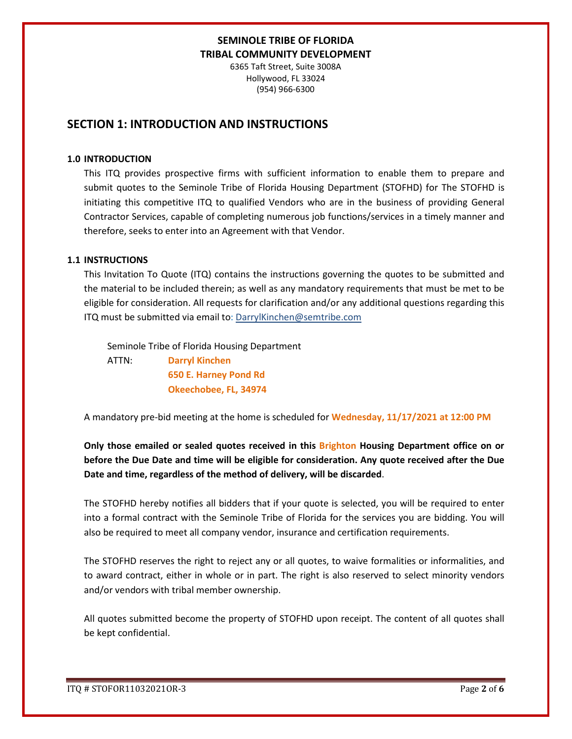6365 Taft Street, Suite 3008A Hollywood, FL 33024 (954) 966-6300

## **SECTION 1: INTRODUCTION AND INSTRUCTIONS**

#### **1.0 INTRODUCTION**

This ITQ provides prospective firms with sufficient information to enable them to prepare and submit quotes to the Seminole Tribe of Florida Housing Department (STOFHD) for The STOFHD is initiating this competitive ITQ to qualified Vendors who are in the business of providing General Contractor Services, capable of completing numerous job functions/services in a timely manner and therefore, seeks to enter into an Agreement with that Vendor.

#### **1.1 INSTRUCTIONS**

This Invitation To Quote (ITQ) contains the instructions governing the quotes to be submitted and the material to be included therein; as well as any mandatory requirements that must be met to be eligible for consideration. All requests for clarification and/or any additional questions regarding this ITQ must be submitted via email to: DarrylKinchen@semtribe.com

 Seminole Tribe of Florida Housing Department ATTN: **Darryl Kinchen**

 **650 E. Harney Pond Rd Okeechobee, FL, 34974**

A mandatory pre-bid meeting at the home is scheduled for **Wednesday, 11/17/2021 at 12:00 PM**

**Only those emailed or sealed quotes received in this Brighton Housing Department office on or before the Due Date and time will be eligible for consideration. Any quote received after the Due Date and time, regardless of the method of delivery, will be discarded**.

The STOFHD hereby notifies all bidders that if your quote is selected, you will be required to enter into a formal contract with the Seminole Tribe of Florida for the services you are bidding. You will also be required to meet all company vendor, insurance and certification requirements.

The STOFHD reserves the right to reject any or all quotes, to waive formalities or informalities, and to award contract, either in whole or in part. The right is also reserved to select minority vendors and/or vendors with tribal member ownership.

All quotes submitted become the property of STOFHD upon receipt. The content of all quotes shall be kept confidential.

ITQ # STOFOR11032021OR-3 Page **2** of **6**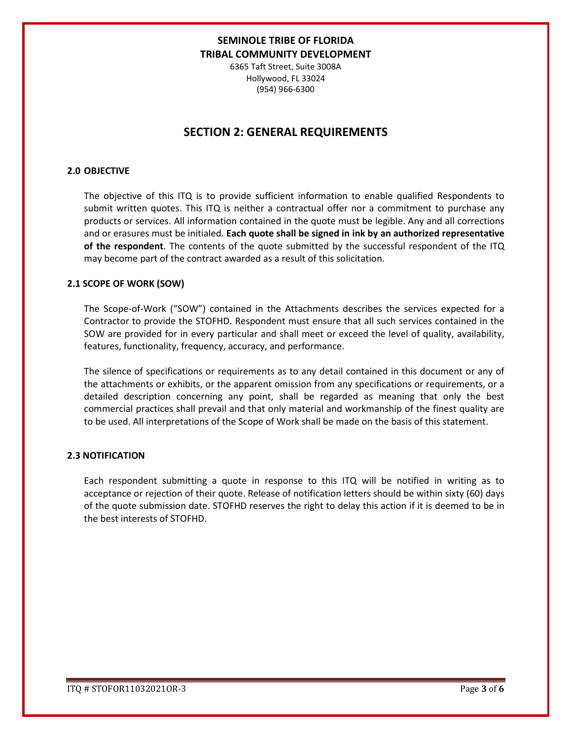6365 Taft Street, Suite 3008A Hollywood, FL 33024 (954) 966-6300

## **SECTION 2: GENERAL REQUIREMENTS**

#### **2.0 OBJECTIVE**

The objective of this ITQ is to provide sufficient information to enable qualified Respondents to submit written quotes. This ITQ is neither a contractual offer nor a commitment to purchase any products or services. All information contained in the quote must be legible. Any and all corrections and or erasures must be initialed. **Each quote shall be signed in ink by an authorized representative of the respondent**. The contents of the quote submitted by the successful respondent of the ITQ may become part of the contract awarded as a result of this solicitation.

#### **2.1 SCOPE OF WORK (SOW)**

The Scope-of-Work ("SOW") contained in the Attachments describes the services expected for a Contractor to provide the STOFHD. Respondent must ensure that all such services contained in the SOW are provided for in every particular and shall meet or exceed the level of quality, availability, features, functionality, frequency, accuracy, and performance.

The silence of specifications or requirements as to any detail contained in this document or any of the attachments or exhibits, or the apparent omission from any specifications or requirements, or a detailed description concerning any point, shall be regarded as meaning that only the best commercial practices shall prevail and that only material and workmanship of the finest quality are to be used. All interpretations of the Scope of Work shall be made on the basis of this statement.

#### **2.3 NOTIFICATION**

Each respondent submitting a quote in response to this ITQ will be notified in writing as to acceptance or rejection of their quote. Release of notification letters should be within sixty (60) days of the quote submission date. STOFHD reserves the right to delay this action if it is deemed to be in the best interests of STOFHD.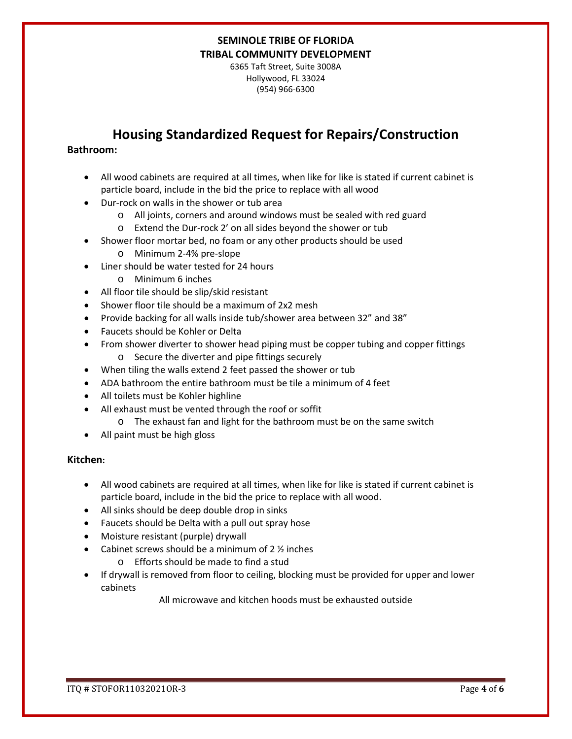6365 Taft Street, Suite 3008A Hollywood, FL 33024 (954) 966-6300

## **Housing Standardized Request for Repairs/Construction**

#### **Bathroom:**

- All wood cabinets are required at all times, when like for like is stated if current cabinet is particle board, include in the bid the price to replace with all wood
- Dur-rock on walls in the shower or tub area
	- o All joints, corners and around windows must be sealed with red guard
	- o Extend the Dur-rock 2' on all sides beyond the shower or tub
- Shower floor mortar bed, no foam or any other products should be used
	- o Minimum 2-4% pre-slope
- Liner should be water tested for 24 hours
	- o Minimum 6 inches
- All floor tile should be slip/skid resistant
- Shower floor tile should be a maximum of 2x2 mesh
- Provide backing for all walls inside tub/shower area between 32" and 38"
- Faucets should be Kohler or Delta
- From shower diverter to shower head piping must be copper tubing and copper fittings o Secure the diverter and pipe fittings securely
- When tiling the walls extend 2 feet passed the shower or tub
- ADA bathroom the entire bathroom must be tile a minimum of 4 feet
- All toilets must be Kohler highline
- All exhaust must be vented through the roof or soffit
	- o The exhaust fan and light for the bathroom must be on the same switch
- All paint must be high gloss

#### **Kitchen:**

- All wood cabinets are required at all times, when like for like is stated if current cabinet is particle board, include in the bid the price to replace with all wood.
- All sinks should be deep double drop in sinks
- Faucets should be Delta with a pull out spray hose
- Moisture resistant (purple) drywall
- Cabinet screws should be a minimum of  $2 \frac{1}{2}$  inches
	- o Efforts should be made to find a stud
- If drywall is removed from floor to ceiling, blocking must be provided for upper and lower cabinets

All microwave and kitchen hoods must be exhausted outside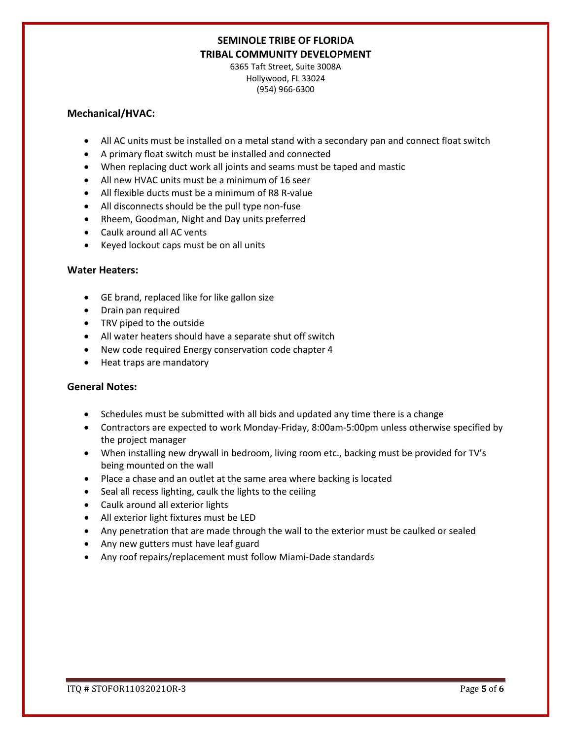6365 Taft Street, Suite 3008A Hollywood, FL 33024 (954) 966-6300

#### **Mechanical/HVAC:**

- All AC units must be installed on a metal stand with a secondary pan and connect float switch
- A primary float switch must be installed and connected
- When replacing duct work all joints and seams must be taped and mastic
- All new HVAC units must be a minimum of 16 seer
- All flexible ducts must be a minimum of R8 R-value
- All disconnects should be the pull type non-fuse
- Rheem, Goodman, Night and Day units preferred
- Caulk around all AC vents
- Keyed lockout caps must be on all units

#### **Water Heaters:**

- GE brand, replaced like for like gallon size
- Drain pan required
- TRV piped to the outside
- All water heaters should have a separate shut off switch
- New code required Energy conservation code chapter 4
- Heat traps are mandatory

#### **General Notes:**

- Schedules must be submitted with all bids and updated any time there is a change
- Contractors are expected to work Monday-Friday, 8:00am-5:00pm unless otherwise specified by the project manager
- When installing new drywall in bedroom, living room etc., backing must be provided for TV's being mounted on the wall
- Place a chase and an outlet at the same area where backing is located
- Seal all recess lighting, caulk the lights to the ceiling
- Caulk around all exterior lights
- All exterior light fixtures must be LED
- Any penetration that are made through the wall to the exterior must be caulked or sealed
- Any new gutters must have leaf guard
- Any roof repairs/replacement must follow Miami-Dade standards